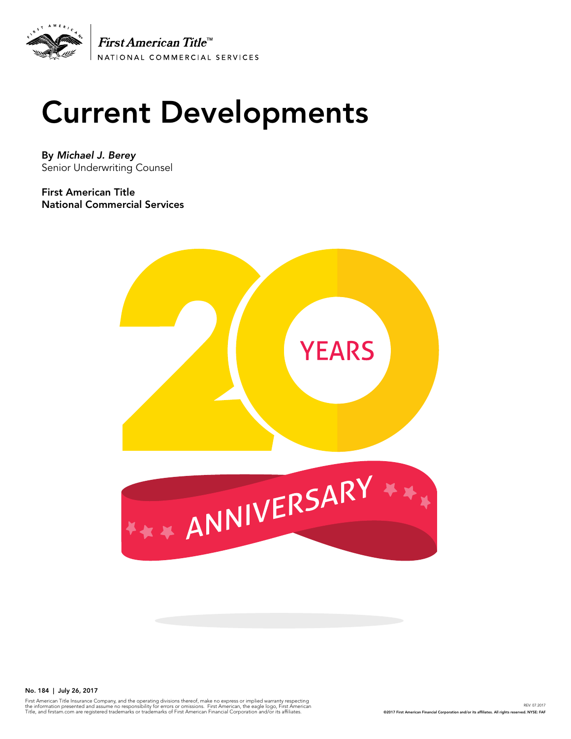

# Current Developments

By *Michael J. Berey*  Senior Underwriting Counsel

First American Title National Commercial Services



No. 184 | July 26, 2017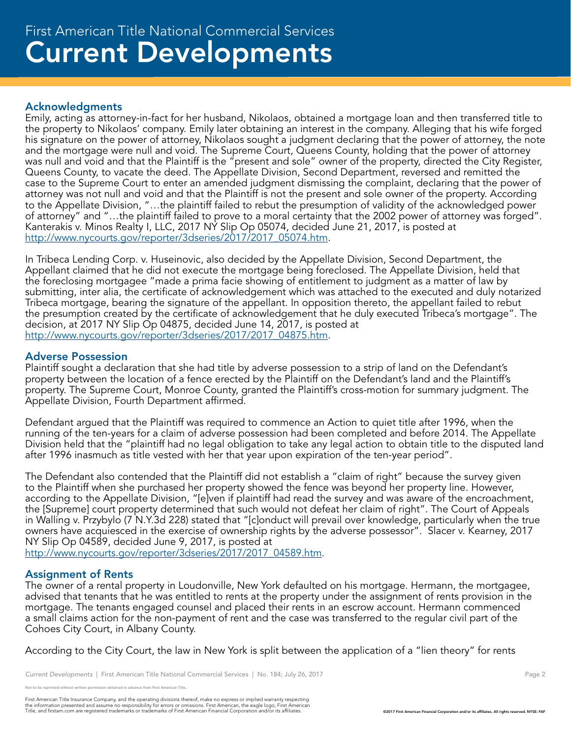# Acknowledgments

Emily, acting as attorney-in-fact for her husband, Nikolaos, obtained a mortgage loan and then transferred title to the property to Nikolaos' company. Emily later obtaining an interest in the company. Alleging that his wife forged his signature on the power of attorney, Nikolaos sought a judgment declaring that the power of attorney, the note and the mortgage were null and void. The Supreme Court, Queens County, holding that the power of attorney was null and void and that the Plaintiff is the "present and sole" owner of the property, directed the City Register, Queens County, to vacate the deed. The Appellate Division, Second Department, reversed and remitted the case to the Supreme Court to enter an amended judgment dismissing the complaint, declaring that the power of attorney was not null and void and that the Plaintiff is not the present and sole owner of the property. According to the Appellate Division, "...the plaintiff failed to rebut the presumption of validity of the acknowledged power of attorney" and "...the plaintiff failed to prove to a moral certainty that the 2002 power of attorney was forged". Kanterakis v. Minos Realty I, LLC, 2017 NY Slip Op 05074, decided June 21, 2017, is posted at http://www.nycourts.gov/reporter/3dseries/2017/2017\_05074.htm.

In Tribeca Lending Corp. v. Huseinovic, also decided by the Appellate Division, Second Department, the Appellant claimed that he did not execute the mortgage being foreclosed. The Appellate Division, held that the foreclosing mortgagee "made a prima facie showing of entitlement to judgment as a matter of law by submitting, inter alia, the certificate of acknowledgement which was attached to the executed and duly notarized Tribeca mortgage, bearing the signature of the appellant. In opposition thereto, the appellant failed to rebut the presumption created by the certificate of acknowledgement that he duly executed Tribeca's mortgage". The decision, at 2017 NY Slip Op 04875, decided June 14, 2017, is posted at http://www.nycourts.gov/reporter/3dseries/2017/2017\_04875.htm.

# Adverse Possession

Plaintiff sought a declaration that she had title by adverse possession to a strip of land on the Defendant's property between the location of a fence erected by the Plaintiff on the Defendant's land and the Plaintiff's property. The Supreme Court, Monroe County, granted the Plaintiff's cross-motion for summary judgment. The Appellate Division, Fourth Department affirmed.

Defendant argued that the Plaintiff was required to commence an Action to quiet title after 1996, when the running of the ten-years for a claim of adverse possession had been completed and before 2014. The Appellate Division held that the "plaintiff had no legal obligation to take any legal action to obtain title to the disputed land after 1996 inasmuch as title vested with her that year upon expiration of the ten-year period".

The Defendant also contended that the Plaintiff did not establish a "claim of right" because the survey given to the Plaintiff when she purchased her property showed the fence was beyond her property line. However, according to the Appellate Division, "[e]ven if plaintiff had read the survey and was aware of the encroachment, the [Supreme] court property determined that such would not defeat her claim of right". The Court of Appeals in Walling v. Przybylo (7 N.Y.3d 228) stated that "[c]onduct will prevail over knowledge, particularly when the true owners have acquiesced in the exercise of ownership rights by the adverse possessor". Slacer v. Kearney, 2017 NY Slip Op 04589, decided June 9, 2017, is posted at

http://www.nycourts.gov/reporter/3dseries/2017/2017\_04589.htm.

# Assignment of Rents

The owner of a rental property in Loudonville, New York defaulted on his mortgage. Hermann, the mortgagee, advised that tenants that he was entitled to rents at the property under the assignment of rents provision in the mortgage. The tenants engaged counsel and placed their rents in an escrow account. Hermann commenced a small claims action for the non-payment of rent and the case was transferred to the regular civil part of the Cohoes City Court, in Albany County.

According to the City Court, the law in New York is split between the application of a "lien theory" for rents

Not to be reprinted without written permission obtained in advance from First American Title.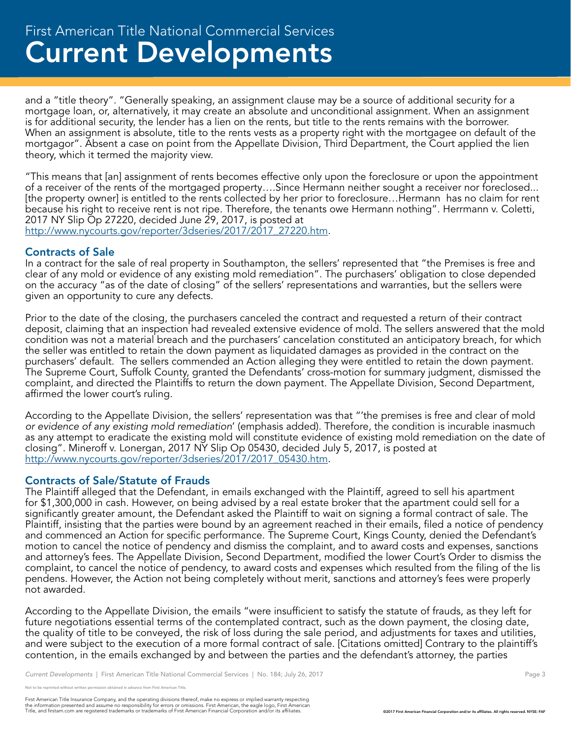and a "title theory". "Generally speaking, an assignment clause may be a source of additional security for a mortgage loan, or, alternatively, it may create an absolute and unconditional assignment. When an assignment is for additional security, the lender has a lien on the rents, but title to the rents remains with the borrower. When an assignment is absolute, title to the rents vests as a property right with the mortgagee on default of the mortgagor". Absent a case on point from the Appellate Division, Third Department, the Court applied the lien theory, which it termed the majority view.

"This means that [an] assignment of rents becomes effective only upon the foreclosure or upon the appointment of a receiver of the rents of the mortgaged property….Since Hermann neither sought a receiver nor foreclosed... [the property owner] is entitled to the rents collected by her prior to foreclosure…Hermann has no claim for rent because his right to receive rent is not ripe. Therefore, the tenants owe Hermann nothing". Herrmann v. Coletti, 2017 NY Slip Op 27220, decided June 29, 2017, is posted at http://www.nycourts.gov/reporter/3dseries/2017/2017\_27220.htm.

# Contracts of Sale

In a contract for the sale of real property in Southampton, the sellers' represented that "the Premises is free and clear of any mold or evidence of any existing mold remediation". The purchasers' obligation to close depended on the accuracy "as of the date of closing" of the sellers' representations and warranties, but the sellers were given an opportunity to cure any defects.

Prior to the date of the closing, the purchasers canceled the contract and requested a return of their contract deposit, claiming that an inspection had revealed extensive evidence of mold. The sellers answered that the mold condition was not a material breach and the purchasers' cancelation constituted an anticipatory breach, for which the seller was entitled to retain the down payment as liquidated damages as provided in the contract on the purchasers' default. The sellers commended an Action alleging they were entitled to retain the down payment. The Supreme Court, Suffolk County, granted the Defendants' cross-motion for summary judgment, dismissed the complaint, and directed the Plaintiffs to return the down payment. The Appellate Division, Second Department, affirmed the lower court's ruling.

According to the Appellate Division, the sellers' representation was that "'the premises is free and clear of mold *or evidence of any existing mold remediation*' (emphasis added). Therefore, the condition is incurable inasmuch as any attempt to eradicate the existing mold will constitute evidence of existing mold remediation on the date of closing". Mineroff v. Lonergan, 2017 NY Slip Op 05430, decided July 5, 2017, is posted at http://www.nycourts.gov/reporter/3dseries/2017/2017\_05430.htm.

# Contracts of Sale/Statute of Frauds

The Plaintiff alleged that the Defendant, in emails exchanged with the Plaintiff, agreed to sell his apartment for \$1,300,000 in cash. However, on being advised by a real estate broker that the apartment could sell for a significantly greater amount, the Defendant asked the Plaintiff to wait on signing a formal contract of sale. The Plaintiff, insisting that the parties were bound by an agreement reached in their emails, filed a notice of pendency and commenced an Action for specific performance. The Supreme Court, Kings County, denied the Defendant's motion to cancel the notice of pendency and dismiss the complaint, and to award costs and expenses, sanctions and attorney's fees. The Appellate Division, Second Department, modified the lower Court's Order to dismiss the complaint, to cancel the notice of pendency, to award costs and expenses which resulted from the filing of the lis pendens. However, the Action not being completely without merit, sanctions and attorney's fees were properly not awarded.

According to the Appellate Division, the emails "were insufficient to satisfy the statute of frauds, as they left for future negotiations essential terms of the contemplated contract, such as the down payment, the closing date, the quality of title to be conveyed, the risk of loss during the sale period, and adjustments for taxes and utilities, and were subject to the execution of a more formal contract of sale. [Citations omitted] Contrary to the plaintiff's contention, in the emails exchanged by and between the parties and the defendant's attorney, the parties

e reprinted without written permission obtained in advance from First American Title.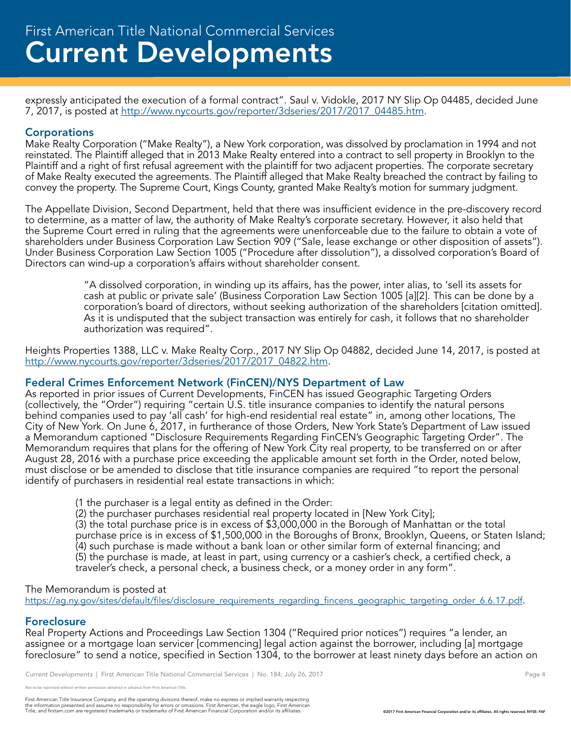expressly anticipated the execution of a formal contract". Saul v. Vidokle, 2017 NY Slip Op 04485, decided June 7, 2017, is posted at http://www.nycourts.gov/reporter/3dseries/2017/2017\_04485.htm.

# **Corporations**

Make Realty Corporation ("Make Realty"), a New York corporation, was dissolved by proclamation in 1994 and not reinstated. The Plaintiff alleged that in 2013 Make Realty entered into a contract to sell property in Brooklyn to the Plaintiff and a right of first refusal agreement with the plaintiff for two adjacent properties. The corporate secretary of Make Realty executed the agreements. The Plaintiff alleged that Make Realty breached the contract by failing to convey the property. The Supreme Court, Kings County, granted Make Realty's motion for summary judgment.

The Appellate Division, Second Department, held that there was insufficient evidence in the pre-discovery record to determine, as a matter of law, the authority of Make Realty's corporate secretary. However, it also held that the Supreme Court erred in ruling that the agreements were unenforceable due to the failure to obtain a vote of shareholders under Business Corporation Law Section 909 ("Sale, lease exchange or other disposition of assets"). Under Business Corporation Law Section 1005 ("Procedure after dissolution"), a dissolved corporation's Board of Directors can wind-up a corporation's affairs without shareholder consent.

> "A dissolved corporation, in winding up its affairs, has the power, inter alias, to 'sell its assets for cash at public or private sale' (Business Corporation Law Section 1005 [a][2]. This can be done by a corporation's board of directors, without seeking authorization of the shareholders [citation omitted]. As it is undisputed that the subject transaction was entirely for cash, it follows that no shareholder authorization was required".

Heights Properties 1388, LLC v. Make Realty Corp., 2017 NY Slip Op 04882, decided June 14, 2017, is posted at http://www.nycourts.gov/reporter/3dseries/2017/2017\_04822.htm.

# Federal Crimes Enforcement Network (FinCEN)/NYS Department of Law

As reported in prior issues of Current Developments, FinCEN has issued Geographic Targeting Orders (collectively, the "Order") requiring "certain U.S. title insurance companies to identify the natural persons behind companies used to pay 'all cash' for high-end residential real estate" in, among other locations, The City of New York. On June 6, 2017, in furtherance of those Orders, New York State's Department of Law issued a Memorandum captioned "Disclosure Requirements Regarding FinCEN's Geographic Targeting Order". The Memorandum requires that plans for the offering of New York City real property, to be transferred on or after August 28, 2016 with a purchase price exceeding the applicable amount set forth in the Order, noted below, must disclose or be amended to disclose that title insurance companies are required "to report the personal identify of purchasers in residential real estate transactions in which:

- (1 the purchaser is a legal entity as defined in the Order:
- (2) the purchaser purchases residential real property located in [New York City];

(3) the total purchase price is in excess of \$3,000,000 in the Borough of Manhattan or the total purchase price is in excess of \$1,500,000 in the Boroughs of Bronx, Brooklyn, Queens, or Staten Island; (4) such purchase is made without a bank loan or other similar form of external financing; and (5) the purchase is made, at least in part, using currency or a cashier's check, a certified check, a traveler's check, a personal check, a business check, or a money order in any form".

#### The Memorandum is posted at

https://ag.ny.gov/sites/default/files/disclosure\_requirements\_regarding\_fincens\_geographic\_targeting\_order\_6.6.17.pdf.

# Foreclosure

Real Property Actions and Proceedings Law Section 1304 ("Required prior notices") requires "a lender, an assignee or a mortgage loan servicer [commencing] legal action against the borrower, including [a] mortgage foreclosure" to send a notice, specified in Section 1304, to the borrower at least ninety days before an action on

*Current Developments* | First American Title National Commercial Services | No. 184; July 26, 2017 **Page 4** Page 4

e reprinted without written permission obtained in advance from First American Title.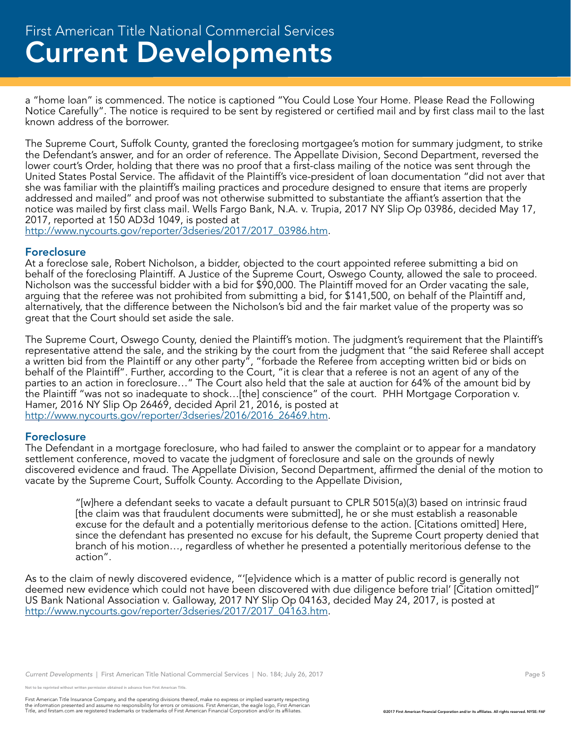a "home loan" is commenced. The notice is captioned "You Could Lose Your Home. Please Read the Following Notice Carefully". The notice is required to be sent by registered or certified mail and by first class mail to the last known address of the borrower.

The Supreme Court, Suffolk County, granted the foreclosing mortgagee's motion for summary judgment, to strike the Defendant's answer, and for an order of reference. The Appellate Division, Second Department, reversed the lower court's Order, holding that there was no proof that a first-class mailing of the notice was sent through the United States Postal Service. The affidavit of the Plaintiff's vice-president of loan documentation "did not aver that she was familiar with the plaintiff's mailing practices and procedure designed to ensure that items are properly addressed and mailed" and proof was not otherwise submitted to substantiate the affiant's assertion that the notice was mailed by first class mail. Wells Fargo Bank, N.A. v. Trupia, 2017 NY Slip Op 03986, decided May 17, 2017, reported at 150 AD3d 1049, is posted at

http://www.nycourts.gov/reporter/3dseries/2017/2017\_03986.htm.

#### Foreclosure

At a foreclose sale, Robert Nicholson, a bidder, objected to the court appointed referee submitting a bid on behalf of the foreclosing Plaintiff. A Justice of the Supreme Court, Oswego County, allowed the sale to proceed. Nicholson was the successful bidder with a bid for \$90,000. The Plaintiff moved for an Order vacating the sale, arguing that the referee was not prohibited from submitting a bid, for \$141,500, on behalf of the Plaintiff and, alternatively, that the difference between the Nicholson's bid and the fair market value of the property was so great that the Court should set aside the sale.

The Supreme Court, Oswego County, denied the Plaintiff's motion. The judgment's requirement that the Plaintiff's representative attend the sale, and the striking by the court from the judgment that "the said Referee shall accept a written bid from the Plaintiff or any other party", "forbade the Referee from accepting written bid or bids on behalf of the Plaintiff". Further, according to the Court, "it is clear that a referee is not an agent of any of the parties to an action in foreclosure…" The Court also held that the sale at auction for 64% of the amount bid by the Plaintiff "was not so inadequate to shock…[the] conscience" of the court. PHH Mortgage Corporation v. Hamer, 2016 NY Slip Op 26469, decided April 21, 2016, is posted at http://www.nycourts.gov/reporter/3dseries/2016/2016\_26469.htm.

#### Foreclosure

The Defendant in a mortgage foreclosure, who had failed to answer the complaint or to appear for a mandatory settlement conference, moved to vacate the judgment of foreclosure and sale on the grounds of newly discovered evidence and fraud. The Appellate Division, Second Department, affirmed the denial of the motion to vacate by the Supreme Court, Suffolk County. According to the Appellate Division,

"[w]here a defendant seeks to vacate a default pursuant to CPLR 5015(a)(3) based on intrinsic fraud [the claim was that fraudulent documents were submitted], he or she must establish a reasonable excuse for the default and a potentially meritorious defense to the action. [Citations omitted] Here, since the defendant has presented no excuse for his default, the Supreme Court property denied that branch of his motion…, regardless of whether he presented a potentially meritorious defense to the action".

As to the claim of newly discovered evidence, "'[e]vidence which is a matter of public record is generally not deemed new evidence which could not have been discovered with due diligence before trial' [Citation omitted]" US Bank National Association v. Galloway, 2017 NY Slip Op 04163, decided May 24, 2017, is posted at http://www.nycourts.gov/reporter/3dseries/2017/2017\_04163.htm.

*Current Developments* | First American Title National Commercial Services | No. 184; July 26, 2017 Page 5 Page 5

Not to be reprinted without written permission obtained in advance from First American Title.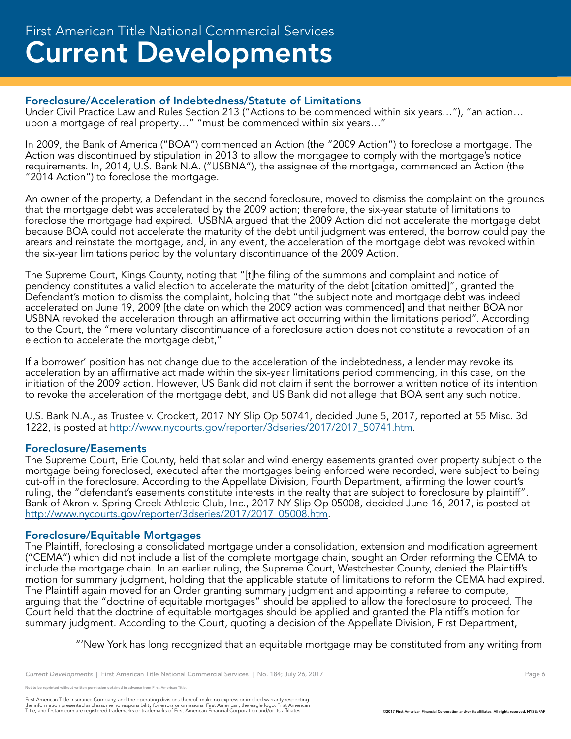# Foreclosure/Acceleration of Indebtedness/Statute of Limitations

Under Civil Practice Law and Rules Section 213 ("Actions to be commenced within six years…"), "an action… upon a mortgage of real property…" "must be commenced within six years…"

In 2009, the Bank of America ("BOA") commenced an Action (the "2009 Action") to foreclose a mortgage. The Action was discontinued by stipulation in 2013 to allow the mortgagee to comply with the mortgage's notice requirements. In, 2014, U.S. Bank N.A. ("USBNA"), the assignee of the mortgage, commenced an Action (the "2014 Action") to foreclose the mortgage.

An owner of the property, a Defendant in the second foreclosure, moved to dismiss the complaint on the grounds that the mortgage debt was accelerated by the 2009 action; therefore, the six-year statute of limitations to foreclose the mortgage had expired. USBNA argued that the 2009 Action did not accelerate the mortgage debt because BOA could not accelerate the maturity of the debt until judgment was entered, the borrow could pay the arears and reinstate the mortgage, and, in any event, the acceleration of the mortgage debt was revoked within the six-year limitations period by the voluntary discontinuance of the 2009 Action.

The Supreme Court, Kings County, noting that "[t]he filing of the summons and complaint and notice of pendency constitutes a valid election to accelerate the maturity of the debt [citation omitted]", granted the Defendant's motion to dismiss the complaint, holding that "the subject note and mortgage debt was indeed accelerated on June 19, 2009 [the date on which the 2009 action was commenced] and that neither BOA nor USBNA revoked the acceleration through an affirmative act occurring within the limitations period". According to the Court, the "mere voluntary discontinuance of a foreclosure action does not constitute a revocation of an election to accelerate the mortgage debt,"

If a borrower' position has not change due to the acceleration of the indebtedness, a lender may revoke its acceleration by an affirmative act made within the six-year limitations period commencing, in this case, on the initiation of the 2009 action. However, US Bank did not claim if sent the borrower a written notice of its intention to revoke the acceleration of the mortgage debt, and US Bank did not allege that BOA sent any such notice.

U.S. Bank N.A., as Trustee v. Crockett, 2017 NY Slip Op 50741, decided June 5, 2017, reported at 55 Misc. 3d 1222, is posted at http://www.nycourts.gov/reporter/3dseries/2017/2017\_50741.htm.

# Foreclosure/Easements

The Supreme Court, Erie County, held that solar and wind energy easements granted over property subject o the mortgage being foreclosed, executed after the mortgages being enforced were recorded, were subject to being cut-off in the foreclosure. According to the Appellate Division, Fourth Department, affirming the lower court's ruling, the "defendant's easements constitute interests in the realty that are subject to foreclosure by plaintiff". Bank of Akron v. Spring Creek Athletic Club, Inc., 2017 NY Slip Op 05008, decided June 16, 2017, is posted at http://www.nycourts.gov/reporter/3dseries/2017/2017\_05008.htm.

# Foreclosure/Equitable Mortgages

The Plaintiff, foreclosing a consolidated mortgage under a consolidation, extension and modification agreement ("CEMA") which did not include a list of the complete mortgage chain, sought an Order reforming the CEMA to include the mortgage chain. In an earlier ruling, the Supreme Court, Westchester County, denied the Plaintiff's motion for summary judgment, holding that the applicable statute of limitations to reform the CEMA had expired. The Plaintiff again moved for an Order granting summary judgment and appointing a referee to compute, arguing that the "doctrine of equitable mortgages" should be applied to allow the foreclosure to proceed. The Court held that the doctrine of equitable mortgages should be applied and granted the Plaintiff's motion for summary judgment. According to the Court, quoting a decision of the Appellate Division, First Department,

"'New York has long recognized that an equitable mortgage may be constituted from any writing from

*Current Developments* | First American Title National Commercial Services | No. 184; July 26, 2017 Page 6 Page 6

.<br>De reprinted without written permission obtained in advance from First American Title.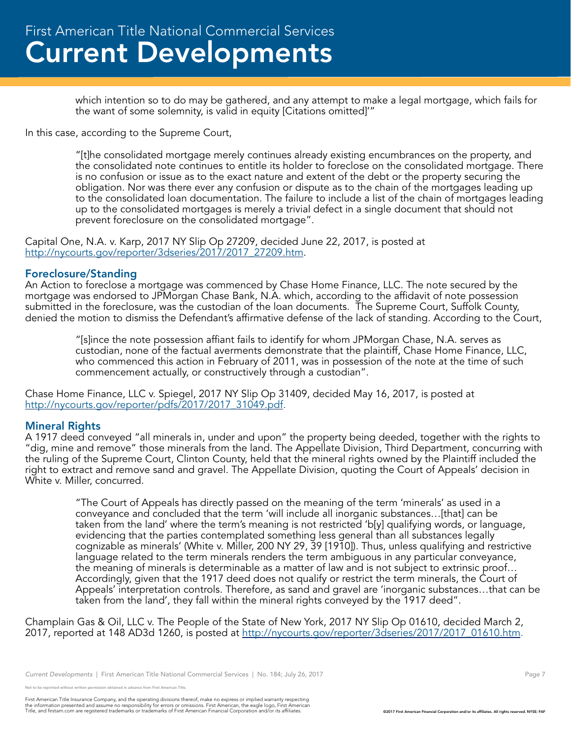which intention so to do may be gathered, and any attempt to make a legal mortgage, which fails for the want of some solemnity, is valid in equity [Citations omitted]'"

In this case, according to the Supreme Court,

"[t]he consolidated mortgage merely continues already existing encumbrances on the property, and the consolidated note continues to entitle its holder to foreclose on the consolidated mortgage. There is no confusion or issue as to the exact nature and extent of the debt or the property securing the obligation. Nor was there ever any confusion or dispute as to the chain of the mortgages leading up to the consolidated loan documentation. The failure to include a list of the chain of mortgages leading up to the consolidated mortgages is merely a trivial defect in a single document that should not prevent foreclosure on the consolidated mortgage".

Capital One, N.A. v. Karp, 2017 NY Slip Op 27209, decided June 22, 2017, is posted at http://nycourts.gov/reporter/3dseries/2017/2017\_27209.htm.

#### Foreclosure/Standing

An Action to foreclose a mortgage was commenced by Chase Home Finance, LLC. The note secured by the mortgage was endorsed to JPMorgan Chase Bank, N.A. which, according to the affidavit of note possession submitted in the foreclosure, was the custodian of the loan documents. The Supreme Court, Suffolk County, denied the motion to dismiss the Defendant's affirmative defense of the lack of standing. According to the Court,

"[s]ince the note possession affiant fails to identify for whom JPMorgan Chase, N.A. serves as custodian, none of the factual averments demonstrate that the plaintiff, Chase Home Finance, LLC, who commenced this action in February of 2011, was in possession of the note at the time of such commencement actually, or constructively through a custodian".

Chase Home Finance, LLC v. Spiegel, 2017 NY Slip Op 31409, decided May 16, 2017, is posted at http://nycourts.gov/reporter/pdfs/2017/2017\_31049.pdf.

# Mineral Rights

A 1917 deed conveyed "all minerals in, under and upon" the property being deeded, together with the rights to "dig, mine and remove" those minerals from the land. The Appellate Division, Third Department, concurring with the ruling of the Supreme Court, Clinton County, held that the mineral rights owned by the Plaintiff included the right to extract and remove sand and gravel. The Appellate Division, quoting the Court of Appeals' decision in White v. Miller, concurred.

"The Court of Appeals has directly passed on the meaning of the term 'minerals' as used in a conveyance and concluded that the term 'will include all inorganic substances…[that] can be taken from the land' where the term's meaning is not restricted 'b[y] qualifying words, or language, evidencing that the parties contemplated something less general than all substances legally cognizable as minerals' (White v. Miller, 200 NY 29, 39 [1910]). Thus, unless qualifying and restrictive language related to the term minerals renders the term ambiguous in any particular conveyance, the meaning of minerals is determinable as a matter of law and is not subject to extrinsic proof… Accordingly, given that the 1917 deed does not qualify or restrict the term minerals, the Court of Appeals' interpretation controls. Therefore, as sand and gravel are 'inorganic substances…that can be taken from the land', they fall within the mineral rights conveyed by the 1917 deed".

Champlain Gas & Oil, LLC v. The People of the State of New York, 2017 NY Slip Op 01610, decided March 2, 2017, reported at 148 AD3d 1260, is posted at http://nycourts.gov/reporter/3dseries/2017/2017\_01610.htm.

e reprinted without written permission obtained in advance from First American Title.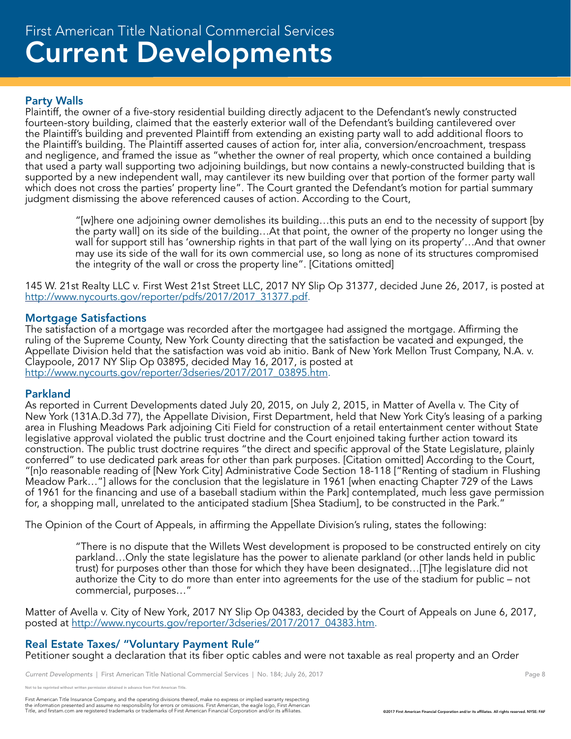# Current Developments First American Title National Commercial Services

# Party Walls

Plaintiff, the owner of a five-story residential building directly adjacent to the Defendant's newly constructed fourteen-story building, claimed that the easterly exterior wall of the Defendant's building cantilevered over the Plaintiff's building and prevented Plaintiff from extending an existing party wall to add additional floors to the Plaintiff's building. The Plaintiff asserted causes of action for, inter alia, conversion/encroachment, trespass and negligence, and framed the issue as "whether the owner of real property, which once contained a building that used a party wall supporting two adjoining buildings, but now contains a newly-constructed building that is supported by a new independent wall, may cantilever its new building over that portion of the former party wall which does not cross the parties' property line". The Court granted the Defendant's motion for partial summary judgment dismissing the above referenced causes of action. According to the Court,

"[w]here one adjoining owner demolishes its building…this puts an end to the necessity of support [by the party wall] on its side of the building…At that point, the owner of the property no longer using the wall for support still has 'ownership rights in that part of the wall lying on its property'…And that owner may use its side of the wall for its own commercial use, so long as none of its structures compromised the integrity of the wall or cross the property line". [Citations omitted]

145 W. 21st Realty LLC v. First West 21st Street LLC, 2017 NY Slip Op 31377, decided June 26, 2017, is posted at http://www.nycourts.gov/reporter/pdfs/2017/2017\_31377.pdf.

#### Mortgage Satisfactions

The satisfaction of a mortgage was recorded after the mortgagee had assigned the mortgage. Affirming the ruling of the Supreme County, New York County directing that the satisfaction be vacated and expunged, the Appellate Division held that the satisfaction was void ab initio. Bank of New York Mellon Trust Company, N.A. v. Claypoole, 2017 NY Slip Op 03895, decided May 16, 2017, is posted at http://www.nycourts.gov/reporter/3dseries/2017/2017\_03895.htm.

#### Parkland

As reported in Current Developments dated July 20, 2015, on July 2, 2015, in Matter of Avella v. The City of New York (131A.D.3d 77), the Appellate Division, First Department, held that New York City's leasing of a parking area in Flushing Meadows Park adjoining Citi Field for construction of a retail entertainment center without State legislative approval violated the public trust doctrine and the Court enjoined taking further action toward its construction. The public trust doctrine requires "the direct and specific approval of the State Legislature, plainly conferred" to use dedicated park areas for other than park purposes. [Citation omitted] According to the Court, "[n]o reasonable reading of [New York City] Administrative Code Section 18-118 ["Renting of stadium in Flushing Meadow Park…"] allows for the conclusion that the legislature in 1961 [when enacting Chapter 729 of the Laws of 1961 for the financing and use of a baseball stadium within the Park] contemplated, much less gave permission for, a shopping mall, unrelated to the anticipated stadium [Shea Stadium], to be constructed in the Park."

The Opinion of the Court of Appeals, in affirming the Appellate Division's ruling, states the following:

"There is no dispute that the Willets West development is proposed to be constructed entirely on city parkland…Only the state legislature has the power to alienate parkland (or other lands held in public trust) for purposes other than those for which they have been designated…[T]he legislature did not authorize the City to do more than enter into agreements for the use of the stadium for public – not commercial, purposes…"

Matter of Avella v. City of New York, 2017 NY Slip Op 04383, decided by the Court of Appeals on June 6, 2017, posted at http://www.nycourts.gov/reporter/3dseries/2017/2017\_04383.htm.

# Real Estate Taxes/ "Voluntary Payment Rule"

Petitioner sought a declaration that its fiber optic cables and were not taxable as real property and an Order

Current Developments | First American Title National Commercial Services | No. 184; July 26, 2017 Page 8 Page 8

e reprinted without written permission obtained in advance from First American Title.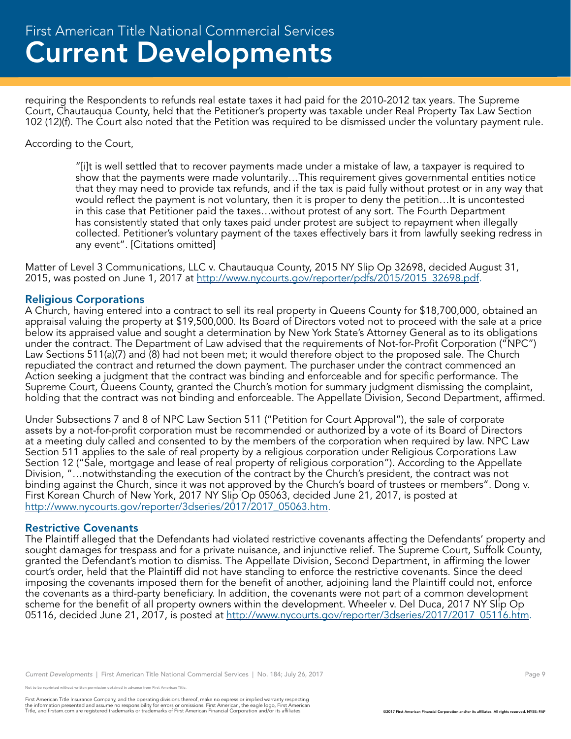requiring the Respondents to refunds real estate taxes it had paid for the 2010-2012 tax years. The Supreme Court, Chautauqua County, held that the Petitioner's property was taxable under Real Property Tax Law Section 102 (12)(f). The Court also noted that the Petition was required to be dismissed under the voluntary payment rule.

#### According to the Court,

"[i]t is well settled that to recover payments made under a mistake of law, a taxpayer is required to show that the payments were made voluntarily…This requirement gives governmental entities notice that they may need to provide tax refunds, and if the tax is paid fully without protest or in any way that would reflect the payment is not voluntary, then it is proper to deny the petition…It is uncontested in this case that Petitioner paid the taxes…without protest of any sort. The Fourth Department has consistently stated that only taxes paid under protest are subject to repayment when illegally collected. Petitioner's voluntary payment of the taxes effectively bars it from lawfully seeking redress in any event". [Citations omitted]

Matter of Level 3 Communications, LLC v. Chautauqua County, 2015 NY Slip Op 32698, decided August 31, 2015, was posted on June 1, 2017 at http://www.nycourts.gov/reporter/pdfs/2015/2015\_32698.pdf.

#### Religious Corporations

A Church, having entered into a contract to sell its real property in Queens County for \$18,700,000, obtained an appraisal valuing the property at \$19,500,000. Its Board of Directors voted not to proceed with the sale at a price below its appraised value and sought a determination by New York State's Attorney General as to its obligations under the contract. The Department of Law advised that the requirements of Not-for-Profit Corporation ("NPC") Law Sections 511(a)(7) and (8) had not been met; it would therefore object to the proposed sale. The Church repudiated the contract and returned the down payment. The purchaser under the contract commenced an Action seeking a judgment that the contract was binding and enforceable and for specific performance. The Supreme Court, Queens County, granted the Church's motion for summary judgment dismissing the complaint, holding that the contract was not binding and enforceable. The Appellate Division, Second Department, affirmed.

Under Subsections 7 and 8 of NPC Law Section 511 ("Petition for Court Approval"), the sale of corporate assets by a not-for-profit corporation must be recommended or authorized by a vote of its Board of Directors at a meeting duly called and consented to by the members of the corporation when required by law. NPC Law Section 511 applies to the sale of real property by a religious corporation under Religious Corporations Law Section 12 ("Sale, mortgage and lease of real property of religious corporation"). According to the Appellate Division, "…notwithstanding the execution of the contract by the Church's president, the contract was not binding against the Church, since it was not approved by the Church's board of trustees or members". Dong v. First Korean Church of New York, 2017 NY Slip Op 05063, decided June 21, 2017, is posted at http://www.nycourts.gov/reporter/3dseries/2017/2017\_05063.htm.

#### Restrictive Covenants

The Plaintiff alleged that the Defendants had violated restrictive covenants affecting the Defendants' property and sought damages for trespass and for a private nuisance, and injunctive relief. The Supreme Court, Suffolk County, granted the Defendant's motion to dismiss. The Appellate Division, Second Department, in affirming the lower court's order, held that the Plaintiff did not have standing to enforce the restrictive covenants. Since the deed imposing the covenants imposed them for the benefit of another, adjoining land the Plaintiff could not, enforce the covenants as a third-party beneficiary. In addition, the covenants were not part of a common development scheme for the benefit of all property owners within the development. Wheeler v. Del Duca, 2017 NY Slip Op 05116, decided June 21, 2017, is posted at http://www.nycourts.gov/reporter/3dseries/2017/2017\_05116.htm.

*Current Developments* | First American Title National Commercial Services | No. 184; July 26, 2017 Page 9 Page 9

reprinted without written permission obtained in advance from First American Title.